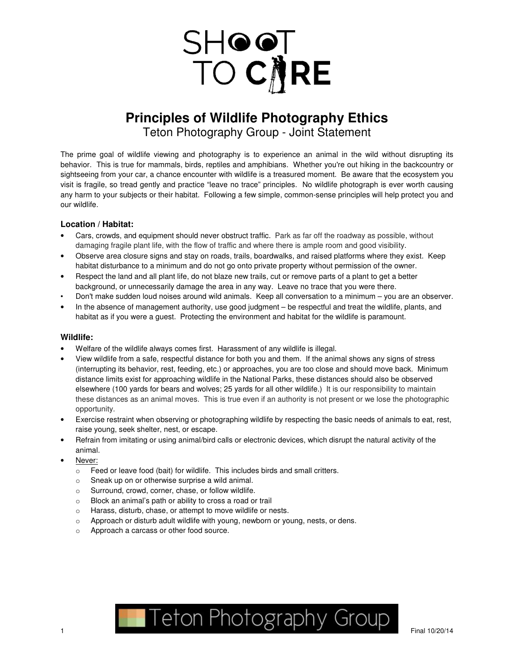

# **Principles of Wildlife Photography Ethics**

Teton Photography Group - Joint Statement

The prime goal of wildlife viewing and photography is to experience an animal in the wild without disrupting its behavior. This is true for mammals, birds, reptiles and amphibians. Whether you're out hiking in the backcountry or sightseeing from your car, a chance encounter with wildlife is a treasured moment. Be aware that the ecosystem you visit is fragile, so tread gently and practice "leave no trace" principles. No wildlife photograph is ever worth causing any harm to your subjects or their habitat. Following a few simple, common-sense principles will help protect you and our wildlife.

# **Location / Habitat:**

- Cars, crowds, and equipment should never obstruct traffic. Park as far off the roadway as possible, without damaging fragile plant life, with the flow of traffic and where there is ample room and good visibility.
- Observe area closure signs and stay on roads, trails, boardwalks, and raised platforms where they exist. Keep habitat disturbance to a minimum and do not go onto private property without permission of the owner.
- Respect the land and all plant life, do not blaze new trails, cut or remove parts of a plant to get a better background, or unnecessarily damage the area in any way. Leave no trace that you were there.
- Don't make sudden loud noises around wild animals. Keep all conversation to a minimum you are an observer.
- In the absence of management authority, use good judgment be respectful and treat the wildlife, plants, and habitat as if you were a guest. Protecting the environment and habitat for the wildlife is paramount.

## **Wildlife:**

- Welfare of the wildlife always comes first. Harassment of any wildlife is illegal.
- View wildlife from a safe, respectful distance for both you and them. If the animal shows any signs of stress (interrupting its behavior, rest, feeding, etc.) or approaches, you are too close and should move back. Minimum distance limits exist for approaching wildlife in the National Parks, these distances should also be observed elsewhere (100 yards for bears and wolves; 25 yards for all other wildlife.) It is our responsibility to maintain these distances as an animal moves. This is true even if an authority is not present or we lose the photographic opportunity.
- Exercise restraint when observing or photographing wildlife by respecting the basic needs of animals to eat, rest, raise young, seek shelter, nest, or escape.
- Refrain from imitating or using animal/bird calls or electronic devices, which disrupt the natural activity of the animal.
- Never:
	- o Feed or leave food (bait) for wildlife. This includes birds and small critters.
	- o Sneak up on or otherwise surprise a wild animal.
	- o Surround, crowd, corner, chase, or follow wildlife.
	- o Block an animal's path or ability to cross a road or trail
	- o Harass, disturb, chase, or attempt to move wildlife or nests.
	- o Approach or disturb adult wildlife with young, newborn or young, nests, or dens.
	- o Approach a carcass or other food source.